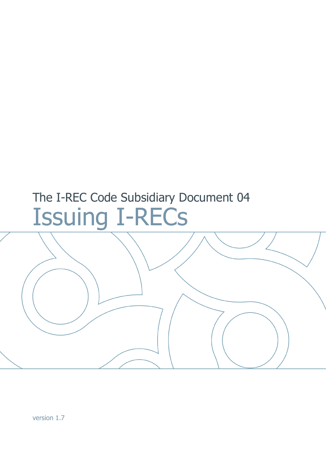# The I-REC Code Subsidiary Document 04 Issuing I-RECs

version 1.7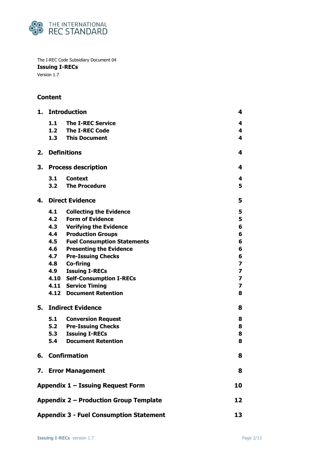

The I-REC Code Subsidiary Document 04 **Issuing I-RECs** Version 1.7

# **Content**

| 1. |     | <b>Introduction</b>                            | 4                       |
|----|-----|------------------------------------------------|-------------------------|
|    | 1.1 | <b>The I-REC Service</b>                       | 4                       |
|    |     | 1.2 The I-REC Code                             | 4                       |
|    |     | 1.3 This Document                              | 4                       |
| 2. |     | <b>Definitions</b>                             | 4                       |
| 3. |     | <b>Process description</b>                     | 4                       |
|    | 3.1 | Context                                        | 4                       |
|    | 3.2 | <b>The Procedure</b>                           | 5                       |
| 4. |     | <b>Direct Evidence</b>                         | 5                       |
|    | 4.1 | <b>Collecting the Evidence</b>                 | 5                       |
|    | 4.2 | <b>Form of Evidence</b>                        | 5                       |
|    |     | 4.3 Verifying the Evidence                     | 6                       |
|    |     | <b>4.4 Production Groups</b>                   | 6                       |
|    | 4.5 | <b>Fuel Consumption Statements</b>             | 6                       |
|    | 4.6 | <b>Presenting the Evidence</b>                 | 6                       |
|    | 4.7 | <b>Pre-Issuing Checks</b>                      | 6                       |
|    |     | 4.8 Co-firing                                  | 7                       |
|    |     | 4.9 Issuing I-RECs                             | $\overline{\mathbf{z}}$ |
|    |     | 4.10 Self-Consumption I-RECs                   | 7                       |
|    |     | 4.11 Service Timing                            | $\overline{\mathbf{z}}$ |
|    |     | <b>4.12 Document Retention</b>                 | 8                       |
| 5. |     | <b>Indirect Evidence</b>                       | 8                       |
|    | 5.1 | <b>Conversion Request</b>                      | 8                       |
|    |     | 5.2 Pre-Issuing Checks                         | 8                       |
|    | 5.3 | <b>Issuing I-RECs</b>                          | 8                       |
|    | 5.4 | <b>Document Retention</b>                      | 8                       |
|    |     | <b>6. Confirmation</b>                         | 8                       |
|    |     | 7. Error Management                            | 8                       |
|    |     | Appendix 1 - Issuing Request Form              | 10                      |
|    |     | <b>Appendix 2 - Production Group Template</b>  | 12                      |
|    |     | <b>Appendix 3 - Fuel Consumption Statement</b> | 13                      |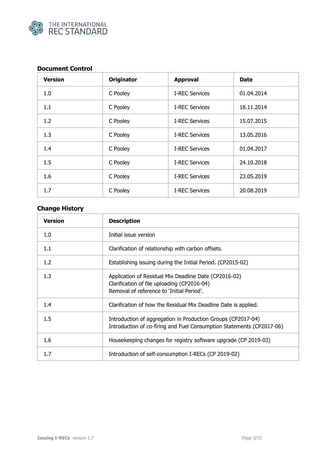

## **Document Control**

| <b>Version</b> | <b>Originator</b> | <b>Approval</b>       | <b>Date</b> |
|----------------|-------------------|-----------------------|-------------|
| 1.0            | C Pooley          | <b>I-REC Services</b> | 01.04.2014  |
| 1.1            | C Pooley          | <b>I-REC Services</b> | 18.11.2014  |
| 1.2            | C Pooley          | <b>I-REC Services</b> | 15.07.2015  |
| 1.3            | C Pooley          | <b>I-REC Services</b> | 13.05.2016  |
| 1.4            | C Pooley          | <b>I-REC Services</b> | 01.04.2017  |
| 1.5            | C Pooley          | <b>I-REC Services</b> | 24.10.2018  |
| 1.6            | C Pooley          | <b>I-REC Services</b> | 23.05.2019  |
| 1.7            | C Pooley          | <b>I-REC Services</b> | 20.08.2019  |

# **Change History**

| <b>Version</b> | <b>Description</b>                                                                                                                                |
|----------------|---------------------------------------------------------------------------------------------------------------------------------------------------|
| 1.0            | Initial issue version                                                                                                                             |
| 1.1            | Clarification of relationship with carbon offsets.                                                                                                |
| 1.2            | Establishing issuing during the Initial Period. (CP2015-02)                                                                                       |
| 1.3            | Application of Residual Mix Deadline Date (CP2016-02)<br>Clarification of file uploading (CP2016-04)<br>Removal of reference to 'Initial Period'. |
| 1.4            | Clarification of how the Residual Mix Deadline Date is applied.                                                                                   |
| 1.5            | Introduction of aggregation in Production Groups (CP2017-04)<br>Introduction of co-firing and Fuel Consumption Statements (CP2017-06)             |
| 1.6            | Housekeeping changes for registry software upgrade (CP 2019-03)                                                                                   |
| 1.7            | Introduction of self-consumption I-RECs (CP 2019-02)                                                                                              |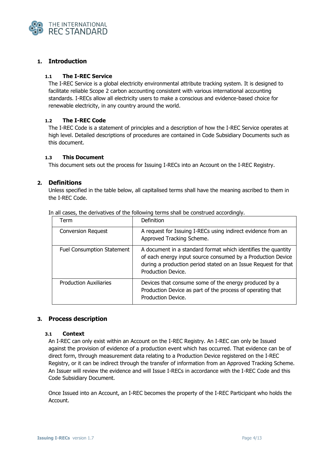

## <span id="page-3-0"></span>**1. Introduction**

#### <span id="page-3-1"></span>**1.1 The I-REC Service**

The I-REC Service is a global electricity environmental attribute tracking system. It is designed to facilitate reliable Scope 2 carbon accounting consistent with various international accounting standards. I-RECs allow all electricity users to make a conscious and evidence-based choice for renewable electricity, in any country around the world.

#### <span id="page-3-2"></span>**1.2 The I-REC Code**

The I-REC Code is a statement of principles and a description of how the I-REC Service operates at high level. Detailed descriptions of procedures are contained in Code Subsidiary Documents such as this document.

#### <span id="page-3-3"></span>**1.3 This Document**

This document sets out the process for Issuing I-RECs into an Account on the I-REC Registry.

#### <span id="page-3-4"></span>**2. Definitions**

Unless specified in the table below, all capitalised terms shall have the meaning ascribed to them in the I-REC Code.

| Term                              | Definition                                                                                                                                                                                                           |
|-----------------------------------|----------------------------------------------------------------------------------------------------------------------------------------------------------------------------------------------------------------------|
| <b>Conversion Request</b>         | A request for Issuing I-RECs using indirect evidence from an<br>Approved Tracking Scheme.                                                                                                                            |
| <b>Fuel Consumption Statement</b> | A document in a standard format which identifies the quantity<br>of each energy input source consumed by a Production Device<br>during a production period stated on an Issue Request for that<br>Production Device. |
| <b>Production Auxiliaries</b>     | Devices that consume some of the energy produced by a<br>Production Device as part of the process of operating that<br>Production Device.                                                                            |

In all cases, the derivatives of the following terms shall be construed accordingly.

## <span id="page-3-5"></span>**3. Process description**

#### <span id="page-3-6"></span>**3.1 Context**

An I-REC can only exist within an Account on the I-REC Registry. An I-REC can only be Issued against the provision of evidence of a production event which has occurred. That evidence can be of direct form, through measurement data relating to a Production Device registered on the I-REC Registry, or it can be indirect through the transfer of information from an Approved Tracking Scheme. An Issuer will review the evidence and will Issue I-RECs in accordance with the I-REC Code and this Code Subsidiary Document.

Once Issued into an Account, an I-REC becomes the property of the I-REC Participant who holds the Account.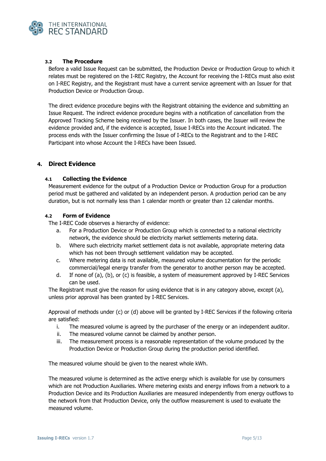

#### <span id="page-4-0"></span>**3.2 The Procedure**

Before a valid Issue Request can be submitted, the Production Device or Production Group to which it relates must be registered on the I-REC Registry, the Account for receiving the I-RECs must also exist on I-REC Registry, and the Registrant must have a current service agreement with an Issuer for that Production Device or Production Group.

The direct evidence procedure begins with the Registrant obtaining the evidence and submitting an Issue Request. The indirect evidence procedure begins with a notification of cancellation from the Approved Tracking Scheme being received by the Issuer. In both cases, the Issuer will review the evidence provided and, if the evidence is accepted, Issue I-RECs into the Account indicated. The process ends with the Issuer confirming the Issue of I-RECs to the Registrant and to the I-REC Participant into whose Account the I-RECs have been Issued.

#### <span id="page-4-1"></span>**4. Direct Evidence**

#### <span id="page-4-2"></span>**4.1 Collecting the Evidence**

Measurement evidence for the output of a Production Device or Production Group for a production period must be gathered and validated by an independent person. A production period can be any duration, but is not normally less than 1 calendar month or greater than 12 calendar months.

#### <span id="page-4-3"></span>**4.2 Form of Evidence**

The I-REC Code observes a hierarchy of evidence:

- a. For a Production Device or Production Group which is connected to a national electricity network, the evidence should be electricity market settlements metering data.
- b. Where such electricity market settlement data is not available, appropriate metering data which has not been through settlement validation may be accepted.
- c. Where metering data is not available, measured volume documentation for the periodic commercial/legal energy transfer from the generator to another person may be accepted.
- d. If none of (a), (b), or (c) is feasible, a system of measurement approved by I-REC Services can be used.

The Registrant must give the reason for using evidence that is in any category above, except (a), unless prior approval has been granted by I-REC Services.

Approval of methods under (c) or (d) above will be granted by I-REC Services if the following criteria are satisfied:

- i. The measured volume is agreed by the purchaser of the energy or an independent auditor.
- ii. The measured volume cannot be claimed by another person.
- iii. The measurement process is a reasonable representation of the volume produced by the Production Device or Production Group during the production period identified.

The measured volume should be given to the nearest whole kWh.

The measured volume is determined as the active energy which is available for use by consumers which are not Production Auxiliaries. Where metering exists and energy inflows from a network to a Production Device and its Production Auxiliaries are measured independently from energy outflows to the network from that Production Device, only the outflow measurement is used to evaluate the measured volume.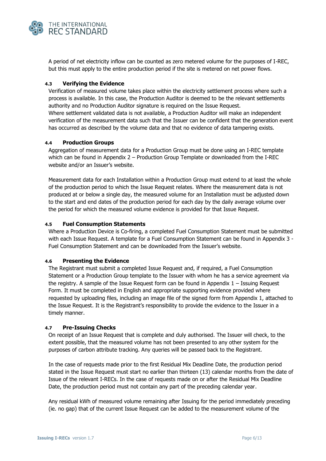

A period of net electricity inflow can be counted as zero metered volume for the purposes of I-REC, but this must apply to the entire production period if the site is metered on net power flows.

#### <span id="page-5-0"></span>**4.3 Verifying the Evidence**

Verification of measured volume takes place within the electricity settlement process where such a process is available. In this case, the Production Auditor is deemed to be the relevant settlements authority and no Production Auditor signature is required on the Issue Request. Where settlement validated data is not available, a Production Auditor will make an independent verification of the measurement data such that the Issuer can be confident that the generation event

#### <span id="page-5-1"></span>**4.4 Production Groups**

Aggregation of measurement data for a Production Group must be done using an I-REC template which can be found in Appendix 2 – [Production Group Template](#page-11-0) or downloaded from the I-REC website and/or an Issuer's website.

has occurred as described by the volume data and that no evidence of data tampering exists.

Measurement data for each Installation within a Production Group must extend to at least the whole of the production period to which the Issue Request relates. Where the measurement data is not produced at or below a single day, the measured volume for an Installation must be adjusted down to the start and end dates of the production period for each day by the daily average volume over the period for which the measured volume evidence is provided for that Issue Request.

#### <span id="page-5-2"></span>**4.5 Fuel Consumption Statements**

Where a Production Device is Co-firing, a completed Fuel Consumption Statement must be submitted with each Issue Request. A template for a Fuel Consumption Statement can be found in [Appendix 3 -](#page-12-0) [Fuel Consumption Statement](#page-12-0) and can be downloaded from the Issuer's website.

#### <span id="page-5-3"></span>**4.6 Presenting the Evidence**

The Registrant must submit a completed Issue Request and, if required, a Fuel Consumption Statement or a Production Group template to the Issuer with whom he has a service agreement via the registry. A sample of the Issue Request form can be found in Appendix  $1 -$  Issuing Request Form. It must be completed in English and appropriate supporting evidence provided where requested by uploading files, including an image file of the signed form from Appendix 1, attached to the Issue Request. It is the Registrant's responsibility to provide the evidence to the Issuer in a timely manner.

#### <span id="page-5-4"></span>**4.7 Pre-Issuing Checks**

On receipt of an Issue Request that is complete and duly authorised. The Issuer will check, to the extent possible, that the measured volume has not been presented to any other system for the purposes of carbon attribute tracking. Any queries will be passed back to the Registrant.

In the case of requests made prior to the first Residual Mix Deadline Date, the production period stated in the Issue Request must start no earlier than thirteen (13) calendar months from the date of Issue of the relevant I-RECs. In the case of requests made on or after the Residual Mix Deadline Date, the production period must not contain any part of the preceding calendar year.

Any residual kWh of measured volume remaining after Issuing for the period immediately preceding (ie. no gap) that of the current Issue Request can be added to the measurement volume of the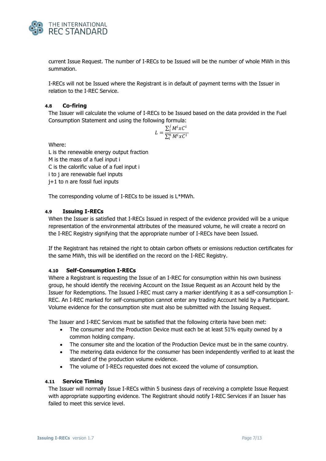

current Issue Request. The number of I-RECs to be Issued will be the number of whole MWh in this summation.

I-RECs will not be Issued where the Registrant is in default of payment terms with the Issuer in relation to the I-REC Service.

#### <span id="page-6-0"></span>**4.8 Co-firing**

The Issuer will calculate the volume of I-RECs to be Issued based on the data provided in the Fuel Consumption Statement and using the following formula:

$$
L = \frac{\sum_{i}^{j} M^{i} \chi C^{i}}{\sum_{i}^{n} M^{i} \chi C^{i}}
$$

Where:

L is the renewable energy output fraction M is the mass of a fuel input i

C is the calorific value of a fuel input i

i to j are renewable fuel inputs

j+1 to n are fossil fuel inputs

The corresponding volume of I-RECs to be issued is L\*MWh.

#### <span id="page-6-1"></span>**4.9 Issuing I-RECs**

When the Issuer is satisfied that I-RECs Issued in respect of the evidence provided will be a unique representation of the environmental attributes of the measured volume, he will create a record on the I-REC Registry signifying that the appropriate number of I-RECs have been Issued.

If the Registrant has retained the right to obtain carbon offsets or emissions reduction certificates for the same MWh, this will be identified on the record on the I-REC Registry.

#### <span id="page-6-2"></span>**4.10 Self-Consumption I-RECs**

Where a Registrant is requesting the Issue of an I-REC for consumption within his own business group, he should identify the receiving Account on the Issue Request as an Account held by the Issuer for Redemptions. The Issued I-REC must carry a marker identifying it as a self-consumption I-REC. An I-REC marked for self-consumption cannot enter any trading Account held by a Participant. Volume evidence for the consumption site must also be submitted with the Issuing Request.

The Issuer and I-REC Services must be satisfied that the following criteria have been met:

- The consumer and the Production Device must each be at least 51% equity owned by a common holding company.
- The consumer site and the location of the Production Device must be in the same country.
- The metering data evidence for the consumer has been independently verified to at least the standard of the production volume evidence.
- The volume of I-RECs requested does not exceed the volume of consumption.

#### <span id="page-6-3"></span>**4.11 Service Timing**

The Issuer will normally Issue I-RECs within 5 business days of receiving a complete Issue Request with appropriate supporting evidence. The Registrant should notify I-REC Services if an Issuer has failed to meet this service level.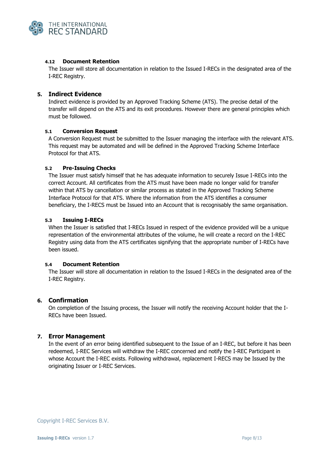

#### <span id="page-7-0"></span>**4.12 Document Retention**

The Issuer will store all documentation in relation to the Issued I-RECs in the designated area of the I-REC Registry.

## <span id="page-7-1"></span>**5. Indirect Evidence**

Indirect evidence is provided by an Approved Tracking Scheme (ATS). The precise detail of the transfer will depend on the ATS and its exit procedures. However there are general principles which must be followed.

#### <span id="page-7-2"></span>**5.1 Conversion Request**

A Conversion Request must be submitted to the Issuer managing the interface with the relevant ATS. This request may be automated and will be defined in the Approved Tracking Scheme Interface Protocol for that ATS.

#### <span id="page-7-3"></span>**5.2 Pre-Issuing Checks**

The Issuer must satisfy himself that he has adequate information to securely Issue I-RECs into the correct Account. All certificates from the ATS must have been made no longer valid for transfer within that ATS by cancellation or similar process as stated in the Approved Tracking Scheme Interface Protocol for that ATS. Where the information from the ATS identifies a consumer beneficiary, the I-RECS must be Issued into an Account that is recognisably the same organisation.

#### <span id="page-7-4"></span>**5.3 Issuing I-RECs**

When the Issuer is satisfied that I-RECs Issued in respect of the evidence provided will be a unique representation of the environmental attributes of the volume, he will create a record on the I-REC Registry using data from the ATS certificates signifying that the appropriate number of I-RECs have been issued.

#### <span id="page-7-5"></span>**5.4 Document Retention**

The Issuer will store all documentation in relation to the Issued I-RECs in the designated area of the I-REC Registry.

#### <span id="page-7-6"></span>**6. Confirmation**

On completion of the Issuing process, the Issuer will notify the receiving Account holder that the I-RECs have been Issued.

#### <span id="page-7-7"></span>**7. Error Management**

In the event of an error being identified subsequent to the Issue of an I-REC, but before it has been redeemed, I-REC Services will withdraw the I-REC concerned and notify the I-REC Participant in whose Account the I-REC exists. Following withdrawal, replacement I-RECS may be Issued by the originating Issuer or I-REC Services.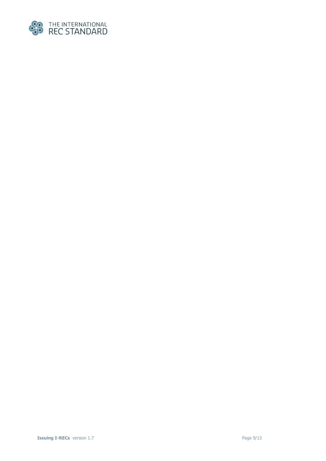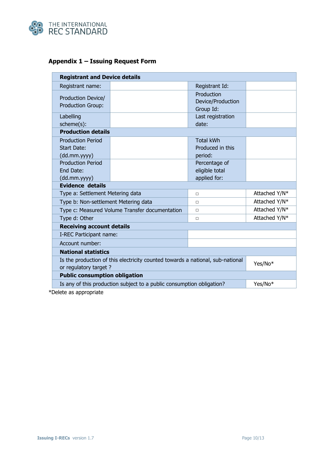

# <span id="page-9-0"></span>**Appendix 1 – Issuing Request Form**

| <b>Registrant and Device details</b>                                                                                |                                                 |               |  |  |  |
|---------------------------------------------------------------------------------------------------------------------|-------------------------------------------------|---------------|--|--|--|
| Registrant name:                                                                                                    | Registrant Id:                                  |               |  |  |  |
| Production Device/<br><b>Production Group:</b>                                                                      | Production<br>Device/Production<br>Group Id:    |               |  |  |  |
| Labelling<br>scheme(s):                                                                                             | Last registration<br>date:                      |               |  |  |  |
| <b>Production details</b>                                                                                           |                                                 |               |  |  |  |
| <b>Production Period</b><br><b>Start Date:</b><br>(dd.mm.yyyy)                                                      | <b>Total kWh</b><br>Produced in this<br>period: |               |  |  |  |
| <b>Production Period</b><br>End Date:<br>(dd.mm.yyyy)                                                               | Percentage of<br>eligible total<br>applied for: |               |  |  |  |
| <b>Evidence details</b>                                                                                             |                                                 |               |  |  |  |
| Type a: Settlement Metering data                                                                                    | Attached Y/N*                                   |               |  |  |  |
| Type b: Non-settlement Metering data                                                                                | Attached Y/N*                                   |               |  |  |  |
| Type c: Measured Volume Transfer documentation                                                                      | П                                               | Attached Y/N* |  |  |  |
| Type d: Other                                                                                                       | $\Box$                                          | Attached Y/N* |  |  |  |
| <b>Receiving account details</b>                                                                                    |                                                 |               |  |  |  |
|                                                                                                                     | I-REC Participant name:                         |               |  |  |  |
| Account number:                                                                                                     |                                                 |               |  |  |  |
| <b>National statistics</b>                                                                                          |                                                 |               |  |  |  |
| Is the production of this electricity counted towards a national, sub-national<br>Yes/No*<br>or regulatory target ? |                                                 |               |  |  |  |
| <b>Public consumption obligation</b>                                                                                |                                                 |               |  |  |  |
| Is any of this production subject to a public consumption obligation?<br>Yes/No*                                    |                                                 |               |  |  |  |

\*Delete as appropriate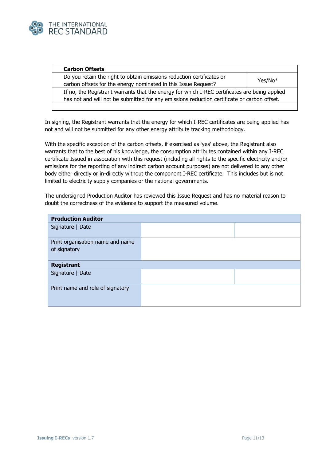

| <b>Carbon Offsets</b>                                                                         |         |
|-----------------------------------------------------------------------------------------------|---------|
| Do you retain the right to obtain emissions reduction certificates or                         | Yes/No* |
| carbon offsets for the energy nominated in this Issue Request?                                |         |
| If no, the Registrant warrants that the energy for which I-REC certificates are being applied |         |
| has not and will not be submitted for any emissions reduction certificate or carbon offset.   |         |
|                                                                                               |         |

In signing, the Registrant warrants that the energy for which I-REC certificates are being applied has not and will not be submitted for any other energy attribute tracking methodology.

With the specific exception of the carbon offsets, if exercised as 'yes' above, the Registrant also warrants that to the best of his knowledge, the consumption attributes contained within any I-REC certificate Issued in association with this request (including all rights to the specific electricity and/or emissions for the reporting of any indirect carbon account purposes) are not delivered to any other body either directly or in-directly without the component I-REC certificate. This includes but is not limited to electricity supply companies or the national governments.

The undersigned Production Auditor has reviewed this Issue Request and has no material reason to doubt the correctness of the evidence to support the measured volume.

| <b>Production Auditor</b>                        |  |  |  |  |
|--------------------------------------------------|--|--|--|--|
| Signature   Date                                 |  |  |  |  |
| Print organisation name and name<br>of signatory |  |  |  |  |
| <b>Registrant</b>                                |  |  |  |  |
| Signature   Date                                 |  |  |  |  |
| Print name and role of signatory                 |  |  |  |  |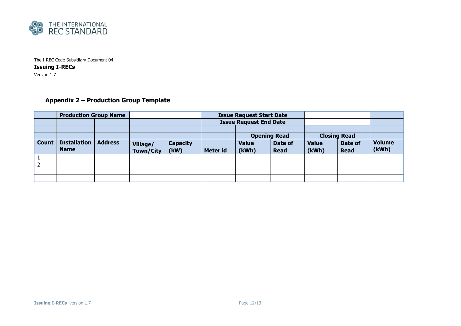

The I-REC Code Subsidiary Document 04 **Issuing I-RECs** Version 1.7

# **Appendix 2 – Production Group Template**

<span id="page-11-0"></span>

|              | <b>Production Group Name</b>       |                |                              |                         |                               | <b>Issue Request Start Date</b> |                        |                       |                        |                        |
|--------------|------------------------------------|----------------|------------------------------|-------------------------|-------------------------------|---------------------------------|------------------------|-----------------------|------------------------|------------------------|
|              |                                    |                |                              |                         | <b>Issue Request End Date</b> |                                 |                        |                       |                        |                        |
|              |                                    |                |                              |                         |                               |                                 |                        |                       |                        |                        |
|              |                                    |                |                              |                         |                               | <b>Opening Read</b>             |                        |                       | <b>Closing Read</b>    |                        |
| <b>Count</b> | <b>Installation</b><br><b>Name</b> | <b>Address</b> | Village/<br><b>Town/City</b> | <b>Capacity</b><br>(kW) | <b>Meter id</b>               | <b>Value</b><br>(kWh)           | Date of<br><b>Read</b> | <b>Value</b><br>(kWh) | Date of<br><b>Read</b> | <b>Volume</b><br>(kWh) |
|              |                                    |                |                              |                         |                               |                                 |                        |                       |                        |                        |
|              |                                    |                |                              |                         |                               |                                 |                        |                       |                        |                        |
| .            |                                    |                |                              |                         |                               |                                 |                        |                       |                        |                        |
|              |                                    |                |                              |                         |                               |                                 |                        |                       |                        |                        |